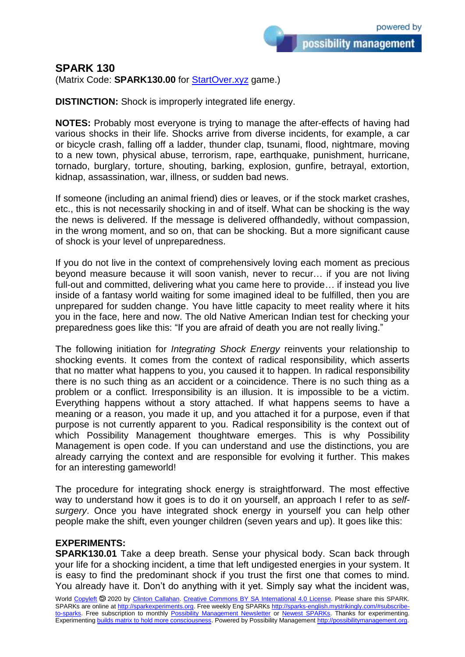## **SPARK 130**

(Matrix Code: **SPARK130.00** for **StartOver.xyz** game.)

**DISTINCTION:** Shock is improperly integrated life energy.

**NOTES:** Probably most everyone is trying to manage the after-effects of having had various shocks in their life. Shocks arrive from diverse incidents, for example, a car or bicycle crash, falling off a ladder, thunder clap, tsunami, flood, nightmare, moving to a new town, physical abuse, terrorism, rape, earthquake, punishment, hurricane, tornado, burglary, torture, shouting, barking, explosion, gunfire, betrayal, extortion, kidnap, assassination, war, illness, or sudden bad news.

If someone (including an animal friend) dies or leaves, or if the stock market crashes, etc., this is not necessarily shocking in and of itself. What can be shocking is the way the news is delivered. If the message is delivered offhandedly, without compassion, in the wrong moment, and so on, that can be shocking. But a more significant cause of shock is your level of unpreparedness.

If you do not live in the context of comprehensively loving each moment as precious beyond measure because it will soon vanish, never to recur… if you are not living full-out and committed, delivering what you came here to provide… if instead you live inside of a fantasy world waiting for some imagined ideal to be fulfilled, then you are unprepared for sudden change. You have little capacity to meet reality where it hits you in the face, here and now. The old Native American Indian test for checking your preparedness goes like this: "If you are afraid of death you are not really living."

The following initiation for *Integrating Shock Energy* reinvents your relationship to shocking events. It comes from the context of radical responsibility, which asserts that no matter what happens to you, you caused it to happen. In radical responsibility there is no such thing as an accident or a coincidence. There is no such thing as a problem or a conflict. Irresponsibility is an illusion. It is impossible to be a victim. Everything happens without a story attached. If what happens seems to have a meaning or a reason, you made it up, and you attached it for a purpose, even if that purpose is not currently apparent to you. Radical responsibility is the context out of which Possibility Management thoughtware emerges. This is why Possibility Management is open code. If you can understand and use the distinctions, you are already carrying the context and are responsible for evolving it further. This makes for an interesting gameworld!

The procedure for integrating shock energy is straightforward. The most effective way to understand how it goes is to do it on yourself, an approach I refer to as *selfsurgery*. Once you have integrated shock energy in yourself you can help other people make the shift, even younger children (seven years and up). It goes like this:

## **EXPERIMENTS:**

**SPARK130.01** Take a deep breath. Sense your physical body. Scan back through your life for a shocking incident, a time that left undigested energies in your system. It is easy to find the predominant shock if you trust the first one that comes to mind. You already have it. Don't do anything with it yet. Simply say what the incident was,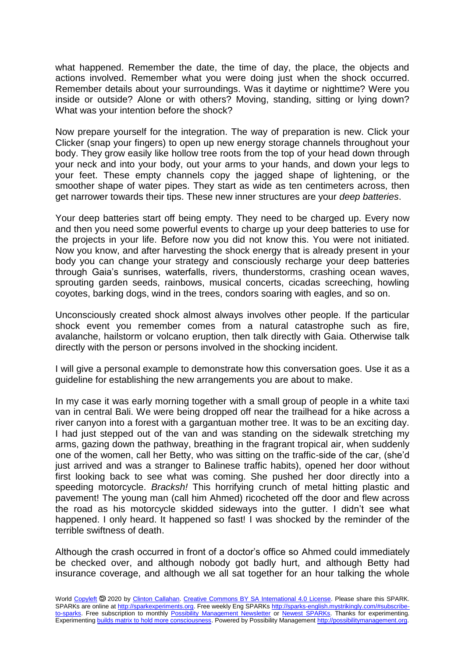what happened. Remember the date, the time of day, the place, the objects and actions involved. Remember what you were doing just when the shock occurred. Remember details about your surroundings. Was it daytime or nighttime? Were you inside or outside? Alone or with others? Moving, standing, sitting or lying down? What was your intention before the shock?

Now prepare yourself for the integration. The way of preparation is new. Click your Clicker (snap your fingers) to open up new energy storage channels throughout your body. They grow easily like hollow tree roots from the top of your head down through your neck and into your body, out your arms to your hands, and down your legs to your feet. These empty channels copy the jagged shape of lightening, or the smoother shape of water pipes. They start as wide as ten centimeters across, then get narrower towards their tips. These new inner structures are your *deep batteries*.

Your deep batteries start off being empty. They need to be charged up. Every now and then you need some powerful events to charge up your deep batteries to use for the projects in your life. Before now you did not know this. You were not initiated. Now you know, and after harvesting the shock energy that is already present in your body you can change your strategy and consciously recharge your deep batteries through Gaia's sunrises, waterfalls, rivers, thunderstorms, crashing ocean waves, sprouting garden seeds, rainbows, musical concerts, cicadas screeching, howling coyotes, barking dogs, wind in the trees, condors soaring with eagles, and so on.

Unconsciously created shock almost always involves other people. If the particular shock event you remember comes from a natural catastrophe such as fire, avalanche, hailstorm or volcano eruption, then talk directly with Gaia. Otherwise talk directly with the person or persons involved in the shocking incident.

I will give a personal example to demonstrate how this conversation goes. Use it as a guideline for establishing the new arrangements you are about to make.

In my case it was early morning together with a small group of people in a white taxi van in central Bali. We were being dropped off near the trailhead for a hike across a river canyon into a forest with a gargantuan mother tree. It was to be an exciting day. I had just stepped out of the van and was standing on the sidewalk stretching my arms, gazing down the pathway, breathing in the fragrant tropical air, when suddenly one of the women, call her Betty, who was sitting on the traffic-side of the car, (she'd just arrived and was a stranger to Balinese traffic habits), opened her door without first looking back to see what was coming. She pushed her door directly into a speeding motorcycle. *Bracksh!* This horrifying crunch of metal hitting plastic and pavement! The young man (call him Ahmed) ricocheted off the door and flew across the road as his motorcycle skidded sideways into the gutter. I didn't see what happened. I only heard. It happened so fast! I was shocked by the reminder of the terrible swiftness of death.

Although the crash occurred in front of a doctor's office so Ahmed could immediately be checked over, and although nobody got badly hurt, and although Betty had insurance coverage, and although we all sat together for an hour talking the whole